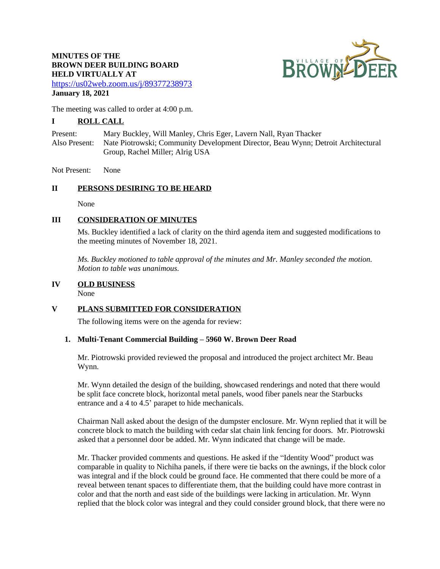# **MINUTES OF THE BROWN DEER BUILDING BOARD HELD VIRTUALLY AT**



<https://us02web.zoom.us/j/89377238973> **January 18, 2021**

The meeting was called to order at 4:00 p.m.

# **I ROLL CALL**

Present: Mary Buckley, Will Manley, Chris Eger, Lavern Nall, Ryan Thacker Also Present: Nate Piotrowski; Community Development Director, Beau Wynn; Detroit Architectural Group, Rachel Miller; Alrig USA

Not Present: None

### **II PERSONS DESIRING TO BE HEARD**

None

### **III CONSIDERATION OF MINUTES**

Ms. Buckley identified a lack of clarity on the third agenda item and suggested modifications to the meeting minutes of November 18, 2021.

*Ms. Buckley motioned to table approval of the minutes and Mr. Manley seconded the motion. Motion to table was unanimous.*

## **IV OLD BUSINESS**

None

# **V PLANS SUBMITTED FOR CONSIDERATION**

The following items were on the agenda for review:

#### **1. Multi-Tenant Commercial Building – 5960 W. Brown Deer Road**

Mr. Piotrowski provided reviewed the proposal and introduced the project architect Mr. Beau Wynn.

Mr. Wynn detailed the design of the building, showcased renderings and noted that there would be split face concrete block, horizontal metal panels, wood fiber panels near the Starbucks entrance and a 4 to 4.5' parapet to hide mechanicals.

Chairman Nall asked about the design of the dumpster enclosure. Mr. Wynn replied that it will be concrete block to match the building with cedar slat chain link fencing for doors. Mr. Piotrowski asked that a personnel door be added. Mr. Wynn indicated that change will be made.

Mr. Thacker provided comments and questions. He asked if the "Identity Wood" product was comparable in quality to Nichiha panels, if there were tie backs on the awnings, if the block color was integral and if the block could be ground face. He commented that there could be more of a reveal between tenant spaces to differentiate them, that the building could have more contrast in color and that the north and east side of the buildings were lacking in articulation. Mr. Wynn replied that the block color was integral and they could consider ground block, that there were no